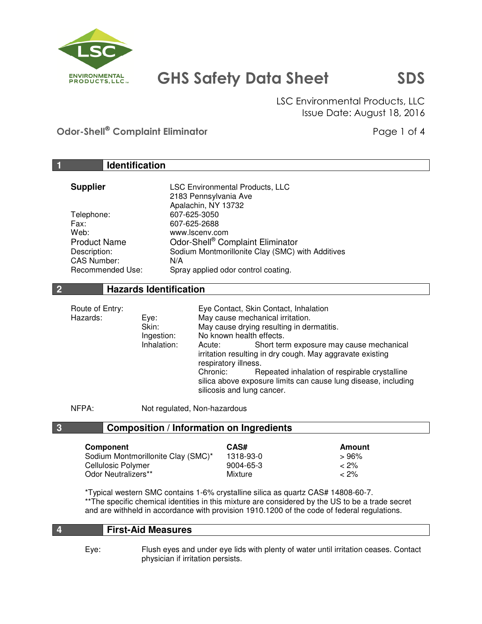

 LSC Environmental Products, LLC Issue Date: August 18, 2016

Odor-Shell<sup>®</sup> Complaint Eliminator **Page 1 of 4** and 2 and 2 and 2 and 2 and 2 and 2 and 2 and 2 and 2 and 2 and 2 and 2 and 2 and 2 and 2 and 2 and 2 and 2 and 2 and 2 and 2 and 2 and 2 and 2 and 2 and 2 and 2 and 2 and 2

|                                    | <b>Identification</b>              |                                                                     |                                                                |
|------------------------------------|------------------------------------|---------------------------------------------------------------------|----------------------------------------------------------------|
| <b>Supplier</b>                    |                                    | <b>LSC Environmental Products, LLC</b>                              |                                                                |
|                                    |                                    | 2183 Pennsylvania Ave                                               |                                                                |
|                                    |                                    | Apalachin, NY 13732                                                 |                                                                |
| Telephone:                         | 607-625-3050                       |                                                                     |                                                                |
| Fax:                               | 607-625-2688                       |                                                                     |                                                                |
| Web:                               | www.lscenv.com                     |                                                                     |                                                                |
| <b>Product Name</b>                |                                    | Odor-Shell® Complaint Eliminator                                    |                                                                |
| Description:<br><b>CAS Number:</b> | N/A                                | Sodium Montmorillonite Clay (SMC) with Additives                    |                                                                |
| Recommended Use:                   |                                    | Spray applied odor control coating.                                 |                                                                |
|                                    |                                    |                                                                     |                                                                |
|                                    | <b>Hazards Identification</b>      |                                                                     |                                                                |
| Route of Entry:                    |                                    | Eye Contact, Skin Contact, Inhalation                               |                                                                |
| Hazards:                           | Eye:                               | May cause mechanical irritation.                                    |                                                                |
|                                    | Skin:                              | May cause drying resulting in dermatitis.                           |                                                                |
|                                    | Ingestion:                         | No known health effects.                                            |                                                                |
|                                    | Inhalation:                        | Acute:<br>irritation resulting in dry cough. May aggravate existing | Short term exposure may cause mechanical                       |
|                                    |                                    | respiratory illness.                                                |                                                                |
|                                    |                                    | Chronic:                                                            | Repeated inhalation of respirable crystalline                  |
|                                    |                                    |                                                                     | silica above exposure limits can cause lung disease, including |
|                                    |                                    | silicosis and lung cancer.                                          |                                                                |
| NFPA:                              | Not regulated, Non-hazardous       |                                                                     |                                                                |
|                                    |                                    | <b>Composition / Information on Ingredients</b>                     |                                                                |
| Component                          |                                    | CAS#                                                                | <b>Amount</b>                                                  |
|                                    | Sodium Montmorillonite Clay (SMC)* | 1318-93-0                                                           | >96%                                                           |
| Cellulosic Polymer                 |                                    | 9004-65-3                                                           | $< 2\%$                                                        |
| Odor Neutralizers**                |                                    | Mixture                                                             | $< 2\%$                                                        |

 \*Typical western SMC contains 1-6% crystalline silica as quartz CAS# 14808-60-7. \*\*The specific chemical identities in this mixture are considered by the US to be a trade secret and are withheld in accordance with provision 1910.1200 of the code of federal regulations.

## **4 First-Aid Measures**

 Eye: Flush eyes and under eye lids with plenty of water until irritation ceases. Contact physician if irritation persists.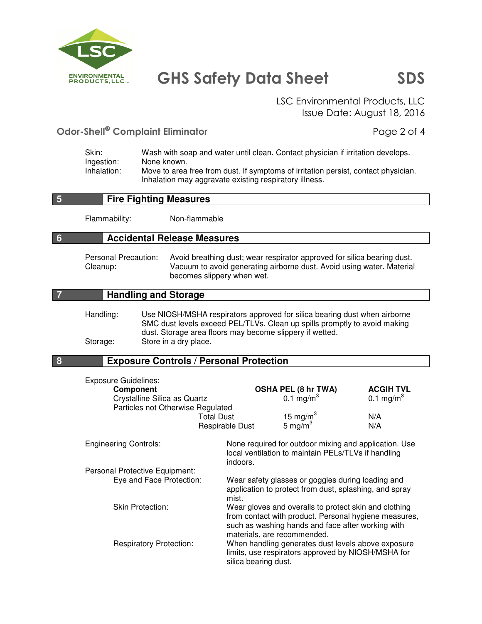

 LSC Environmental Products, LLC Issue Date: August 18, 2016

## Odor-Shell<sup>®</sup> Complaint Eliminator **Page 2 of 4**

| Skin:       | Wash with soap and water until clean. Contact physician if irritation develops.    |
|-------------|------------------------------------------------------------------------------------|
| Ingestion:  | None known.                                                                        |
| Inhalation: | Move to area free from dust. If symptoms of irritation persist, contact physician. |
|             | Inhalation may aggravate existing respiratory illness.                             |

#### **5 Fire Fighting Measures**

Flammability: Non-flammable

#### **6 Accidental Release Measures**

 Personal Precaution: Avoid breathing dust; wear respirator approved for silica bearing dust. Cleanup: Vacuum to avoid generating airborne dust. Avoid using water. Material becomes slippery when wet.

#### **7 Handling and Storage**

 Handling: Use NIOSH/MSHA respirators approved for silica bearing dust when airborne SMC dust levels exceed PEL/TLVs. Clean up spills promptly to avoid making dust. Storage area floors may become slippery if wetted. Storage: Store in a dry place.

#### **8 Exposure Controls / Personal Protection**

| <b>Exposure Guidelines:</b>       |                      |                                                                                                                                                                                                    | <b>ACGIH TVL</b>      |
|-----------------------------------|----------------------|----------------------------------------------------------------------------------------------------------------------------------------------------------------------------------------------------|-----------------------|
| <b>Component</b>                  |                      | <b>OSHA PEL (8 hr TWA)</b>                                                                                                                                                                         |                       |
| Crystalline Silica as Quartz      |                      | 0.1 mg/m <sup>3</sup>                                                                                                                                                                              | 0.1 mg/m <sup>3</sup> |
| Particles not Otherwise Regulated |                      |                                                                                                                                                                                                    |                       |
|                                   | <b>Total Dust</b>    |                                                                                                                                                                                                    | N/A                   |
|                                   | Respirable Dust      | 15 mg/m <sup>3</sup><br>5 mg/m <sup>3</sup>                                                                                                                                                        | N/A                   |
| <b>Engineering Controls:</b>      |                      | None required for outdoor mixing and application. Use                                                                                                                                              |                       |
|                                   | indoors.             | local ventilation to maintain PELs/TLVs if handling                                                                                                                                                |                       |
| Personal Protective Equipment:    |                      |                                                                                                                                                                                                    |                       |
| Eye and Face Protection:          | mist.                | Wear safety glasses or goggles during loading and<br>application to protect from dust, splashing, and spray                                                                                        |                       |
| <b>Skin Protection:</b>           |                      | Wear gloves and overalls to protect skin and clothing<br>from contact with product. Personal hygiene measures,<br>such as washing hands and face after working with<br>materials, are recommended. |                       |
| <b>Respiratory Protection:</b>    | silica bearing dust. | When handling generates dust levels above exposure<br>limits, use respirators approved by NIOSH/MSHA for                                                                                           |                       |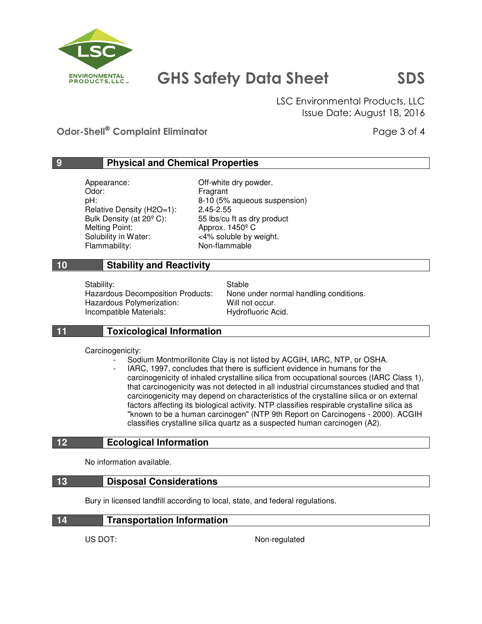

 LSC Environmental Products, LLC Issue Date: August 18, 2016

Odor-Shell<sup>®</sup> Complaint Eliminator **Page 3 of 4** and 2 of 4

## **9 Physical and Chemical Properties**

Appearance: Off-white dry powder. Odor: Fragrant Relative Density (H2O=1): Melting Point: Approx. 1450<sup>°</sup> C Solubility in Water: <4% soluble by weight. Flammability: Non-flammable

pH:  $B-10$  (5% aqueous suspension)<br>Relative Density (H2O=1): 2.45-2.55 Bulk Density (at  $20^{\circ}$  C): 55 lbs/cu ft as dry product

### **10 Stability and Reactivity**

Stability: Stable Stable Hazardous Polymerization: Will not occur. Incompatible Materials: Hydrofluoric Acid.

Hazardous Decomposition Products: None under normal handling conditions.

## **11 Toxicological Information**

Carcinogenicity:

- Sodium Montmorillonite Clay is not listed by ACGIH, IARC, NTP, or OSHA.
	- IARC, 1997, concludes that there is sufficient evidence in humans for the carcinogenicity of inhaled crystalline silica from occupational sources (IARC Class 1), that carcinogenicity was not detected in all industrial circumstances studied and that carcinogenicity may depend on characteristics of the crystalline silica or on external factors affecting its biological activity. NTP classifies respirable crystalline silica as "known to be a human carcinogen" (NTP 9th Report on Carcinogens - 2000). ACGIH classifies crystalline silica quartz as a suspected human carcinogen (A2).

### **12 Ecological Information**

No information available.

#### **13 Disposal Considerations**

Bury in licensed landfill according to local, state, and federal regulations.

| <b>Transportation Information</b> |
|-----------------------------------|
|-----------------------------------|

US DOT: Non-regulated